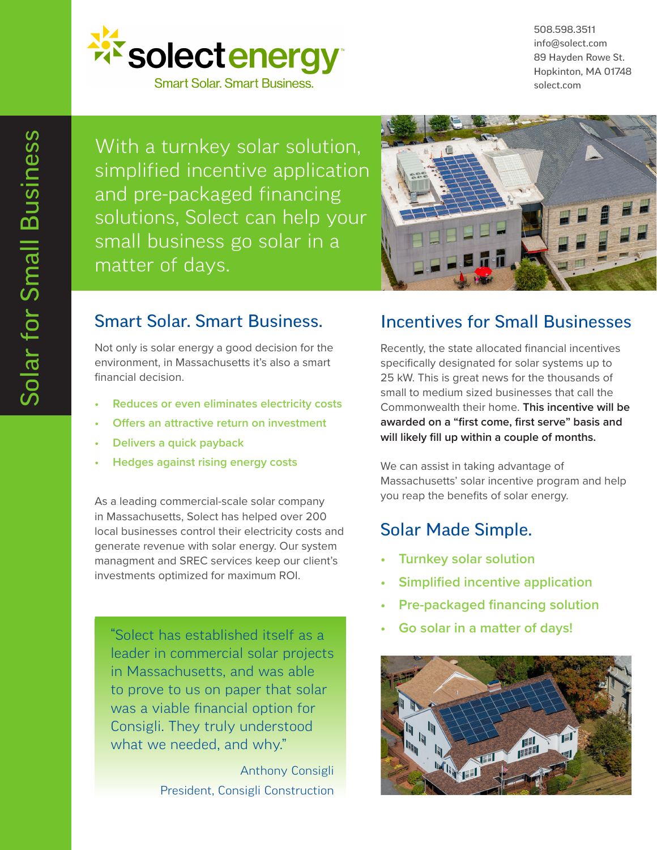

508.598.3511 info@solect.com 89 Hayden Rowe St. Hopkinton, MA 01748 solect.com

With a turnkey solar solution, simplified incentive application and pre-packaged financing solutions, Solect can help your small business go solar in a matter of days.



## Smart Solar. Smart Business.

Not only is solar energy a good decision for the environment, in Massachusetts it's also a smart financial decision.

- **• Reduces or even eliminates electricity costs**
- **• Offers an attractive return on investment**
- **• Delivers a quick payback**
- **• Hedges against rising energy costs**

As a leading commercial-scale solar company in Massachusetts, Solect has helped over 200 local businesses control their electricity costs and generate revenue with solar energy. Our system managment and SREC services keep our client's investments optimized for maximum ROI.

"Solect has established itself as a leader in commercial solar projects in Massachusetts, and was able to prove to us on paper that solar was a viable financial option for Consigli. They truly understood what we needed, and why."

> Anthony Consigli President, Consigli Construction

# Incentives for Small Businesses

Recently, the state allocated financial incentives specifically designated for solar systems up to 25 kW. This is great news for the thousands of small to medium sized businesses that call the Commonwealth their home. **This incentive will be awarded on a "first come, first serve" basis and will likely fill up within a couple of months.**

We can assist in taking advantage of Massachusetts' solar incentive program and help you reap the benefits of solar energy.

## Solar Made Simple.

- **• Turnkey solar solution**
- **• Simplified incentive application**
- **• Pre-packaged financing solution**
- **• Go solar in a matter of days!**